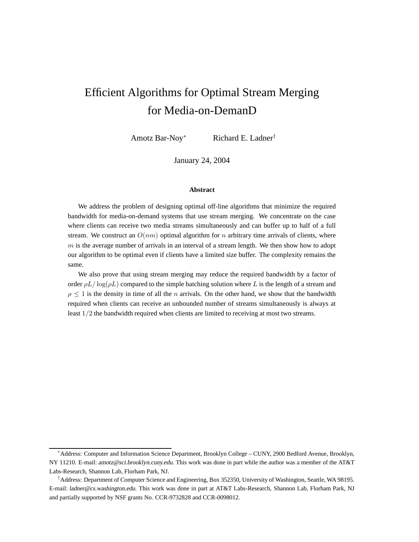# Efficient Algorithms for Optimal Stream Merging for Media-on-DemanD

Amotz Bar-Noy Richard E. Ladner<sup>†</sup>

January 24, 2004

#### **Abstract**

We address the problem of designing optimal off-line algorithms that minimize the required bandwidth for media-on-demand systems that use stream merging. We concentrate on the case where clients can receive two media streams simultaneously and can buffer up to half of a full stream. We construct an  $O(nm)$  optimal algorithm for n arbitrary time arrivals of clients, where  $m$  is the average number of arrivals in an interval of a stream length. We then show how to adopt our algorithm to be optimal even if clients have a limited size buffer. The complexity remains the same.

We also prove that using stream merging may reduce the required bandwidth by a factor of order  $\rho L / \log(\rho L)$  compared to the simple batching solution where L is the length of a stream and  $\rho \leq 1$  is the density in time of all the *n* arrivals. On the other hand, we show that the bandwidth required when clients can receive an unbounded number of streams simultaneously is always at least 1/2 the bandwidth required when clients are limited to receiving at most two streams.

<sup>∗</sup>Address: Computer and Information Science Department, Brooklyn College – CUNY, 2900 Bedford Avenue, Brooklyn, NY 11210. E-mail: amotz@sci.brooklyn.cuny.edu. This work was done in part while the author was a member of the AT&T Labs-Research, Shannon Lab, Florham Park, NJ.

<sup>†</sup>Address: Department of Computer Science and Engineering, Box 352350, University of Washington, Seattle, WA 98195. E-mail: ladner@cs.washington.edu. This work was done in part at AT&T Labs-Research, Shannon Lab, Florham Park, NJ and partially supported by NSF grants No. CCR-9732828 and CCR-0098012.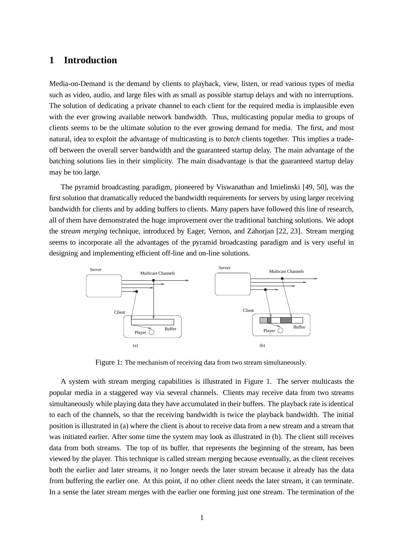# **1 Introduction**

Media-on-Demand is the demand by clients to playback, view, listen, or read various types of media such as video, audio, and large files with as small as possible startup delays and with no interruptions. The solution of dedicating a private channel to each client for the required media is implausible even with the ever growing available network bandwidth. Thus, multicasting popular media to groups of clients seems to be the ultimate solution to the ever growing demand for media. The first, and most natural, idea to exploit the advantage of multicasting is to *batch* clients together. This implies a tradeoff between the overall server bandwidth and the guaranteed startup delay. The main advantage of the batching solutions lies in their simplicity. The main disadvantage is that the guaranteed startup delay may be too large.

The pyramid broadcasting paradigm, pioneered by Viswanathan and Imielinski [49, 50], was the first solution that dramatically reduced the bandwidth requirements for servers by using larger receiving bandwidth for clients and by adding buffers to clients. Many papers have followed this line of research, all of them have demonstrated the huge improvement over the traditional batching solutions. We adopt the *stream merging* technique, introduced by Eager, Vernon, and Zahorjan [22, 23]. Stream merging seems to incorporate all the advantages of the pyramid broadcasting paradigm and is very useful in designing and implementing efficient off-line and on-line solutions.



Figure 1: The mechanism of receiving data from two stream simultaneously.

A system with stream merging capabilities is illustrated in Figure 1. The server multicasts the popular media in a staggered way via several channels. Clients may receive data from two streams simultaneously while playing data they have accumulated in their buffers. The playback rate is identical to each of the channels, so that the receiving bandwidth is twice the playback bandwidth. The initial position is illustrated in (a) where the client is about to receive data from a new stream and a stream that was initiated earlier. After some time the system may look as illustrated in (b). The client still receives data from both streams. The top of its buffer, that represents the beginning of the stream, has been viewed by the player. This technique is called stream merging because eventually, as the client receives both the earlier and later streams, it no longer needs the later stream because it already has the data from buffering the earlier one. At this point, if no other client needs the later stream, it can terminate. In a sense the later stream merges with the earlier one forming just one stream. The termination of the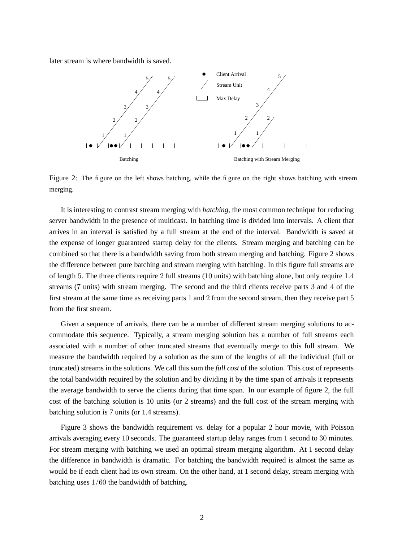later stream is where bandwidth is saved.



Figure 2: The figure on the left shows batching, while the figure on the right shows batching with stream merging.

It is interesting to contrast stream merging with *batching*, the most common technique for reducing server bandwidth in the presence of multicast. In batching time is divided into intervals. A client that arrives in an interval is satisfied by a full stream at the end of the interval. Bandwidth is saved at the expense of longer guaranteed startup delay for the clients. Stream merging and batching can be combined so that there is a bandwidth saving from both stream merging and batching. Figure 2 shows the difference between pure batching and stream merging with batching. In this figure full streams are of length 5. The three clients require 2 full streams (10 units) with batching alone, but only require 1.4 streams (7 units) with stream merging. The second and the third clients receive parts 3 and 4 of the first stream at the same time as receiving parts 1 and 2 from the second stream, then they receive part 5 from the first stream.

Given a sequence of arrivals, there can be a number of different stream merging solutions to accommodate this sequence. Typically, a stream merging solution has a number of full streams each associated with a number of other truncated streams that eventually merge to this full stream. We measure the bandwidth required by a solution as the sum of the lengths of all the individual (full or truncated) streams in the solutions. We call this sum the *full cost* of the solution. This cost of represents the total bandwidth required by the solution and by dividing it by the time span of arrivals it represents the average bandwidth to serve the clients during that time span. In our example of figure 2, the full cost of the batching solution is 10 units (or 2 streams) and the full cost of the stream merging with batching solution is 7 units (or 1.4 streams).

Figure 3 shows the bandwidth requirement vs. delay for a popular 2 hour movie, with Poisson arrivals averaging every 10 seconds. The guaranteed startup delay ranges from 1 second to 30 minutes. For stream merging with batching we used an optimal stream merging algorithm. At 1 second delay the difference in bandwidth is dramatic. For batching the bandwidth required is almost the same as would be if each client had its own stream. On the other hand, at 1 second delay, stream merging with batching uses 1/60 the bandwidth of batching.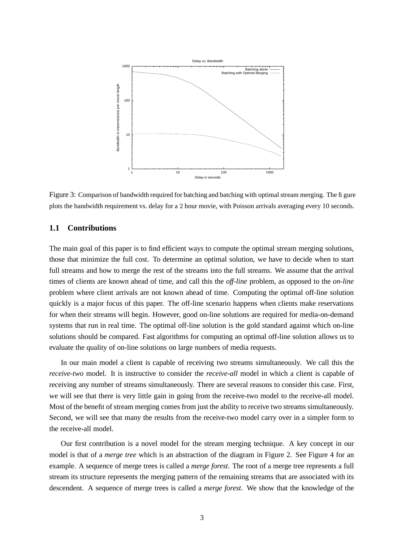

Figure 3: Comparison of bandwidth required for batching and batching with optimal stream merging. The figure plots the bandwidth requirement vs. delay for a 2 hour movie, with Poisson arrivals averaging every 10 seconds.

# **1.1 Contributions**

The main goal of this paper is to find efficient ways to compute the optimal stream merging solutions, those that minimize the full cost. To determine an optimal solution, we have to decide when to start full streams and how to merge the rest of the streams into the full streams. We assume that the arrival times of clients are known ahead of time, and call this the *off-line* problem, as opposed to the *on-line* problem where client arrivals are not known ahead of time. Computing the optimal off-line solution quickly is a major focus of this paper. The off-line scenario happens when clients make reservations for when their streams will begin. However, good on-line solutions are required for media-on-demand systems that run in real time. The optimal off-line solution is the gold standard against which on-line solutions should be compared. Fast algorithms for computing an optimal off-line solution allows us to evaluate the quality of on-line solutions on large numbers of media requests.

In our main model a client is capable of receiving two streams simultaneously. We call this the *receive-two* model. It is instructive to consider the *receive-all* model in which a client is capable of receiving any number of streams simultaneously. There are several reasons to consider this case. First, we will see that there is very little gain in going from the receive-two model to the receive-all model. Most of the benefit of stream merging comes from just the ability to receive two streams simultaneously. Second, we will see that many the results from the receive-two model carry over in a simpler form to the receive-all model.

Our first contribution is a novel model for the stream merging technique. A key concept in our model is that of a *merge tree* which is an abstraction of the diagram in Figure 2. See Figure 4 for an example. A sequence of merge trees is called a *merge forest*. The root of a merge tree represents a full stream its structure represents the merging pattern of the remaining streams that are associated with its descendent. A sequence of merge trees is called a *merge forest*. We show that the knowledge of the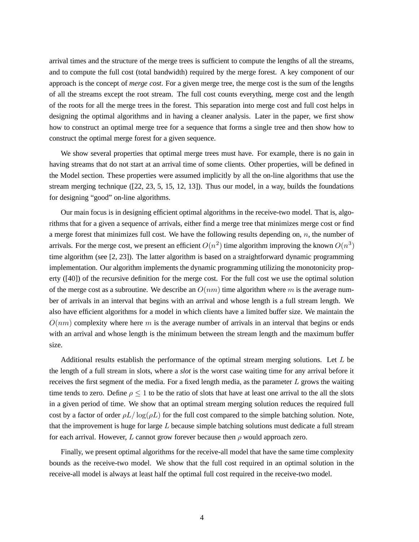arrival times and the structure of the merge trees is sufficient to compute the lengths of all the streams, and to compute the full cost (total bandwidth) required by the merge forest. A key component of our approach is the concept of *merge cost*. For a given merge tree, the merge cost is the sum of the lengths of all the streams except the root stream. The full cost counts everything, merge cost and the length of the roots for all the merge trees in the forest. This separation into merge cost and full cost helps in designing the optimal algorithms and in having a cleaner analysis. Later in the paper, we first show how to construct an optimal merge tree for a sequence that forms a single tree and then show how to construct the optimal merge forest for a given sequence.

We show several properties that optimal merge trees must have. For example, there is no gain in having streams that do not start at an arrival time of some clients. Other properties, will be defined in the Model section. These properties were assumed implicitly by all the on-line algorithms that use the stream merging technique ([22, 23, 5, 15, 12, 13]). Thus our model, in a way, builds the foundations for designing "good" on-line algorithms.

Our main focus is in designing efficient optimal algorithms in the receive-two model. That is, algorithms that for a given a sequence of arrivals, either find a merge tree that minimizes merge cost or find a merge forest that minimizes full cost. We have the following results depending on,  $n$ , the number of arrivals. For the merge cost, we present an efficient  $O(n^2)$  time algorithm improving the known  $O(n^3)$ time algorithm (see [2, 23]). The latter algorithm is based on a straightforward dynamic programming implementation. Our algorithm implements the dynamic programming utilizing the monotonicity property ([40]) of the recursive definition for the merge cost. For the full cost we use the optimal solution of the merge cost as a subroutine. We describe an  $O(nm)$  time algorithm where m is the average number of arrivals in an interval that begins with an arrival and whose length is a full stream length. We also have efficient algorithms for a model in which clients have a limited buffer size. We maintain the  $O(nm)$  complexity where here m is the average number of arrivals in an interval that begins or ends with an arrival and whose length is the minimum between the stream length and the maximum buffer size.

Additional results establish the performance of the optimal stream merging solutions. Let L be the length of a full stream in slots, where a *slot* is the worst case waiting time for any arrival before it receives the first segment of the media. For a fixed length media, as the parameter  $L$  grows the waiting time tends to zero. Define  $\rho \leq 1$  to be the ratio of slots that have at least one arrival to the all the slots in a given period of time. We show that an optimal stream merging solution reduces the required full cost by a factor of order  $\rho L / \log(\rho L)$  for the full cost compared to the simple batching solution. Note, that the improvement is huge for large  $L$  because simple batching solutions must dedicate a full stream for each arrival. However, L cannot grow forever because then  $\rho$  would approach zero.

Finally, we present optimal algorithms for the receive-all model that have the same time complexity bounds as the receive-two model. We show that the full cost required in an optimal solution in the receive-all model is always at least half the optimal full cost required in the receive-two model.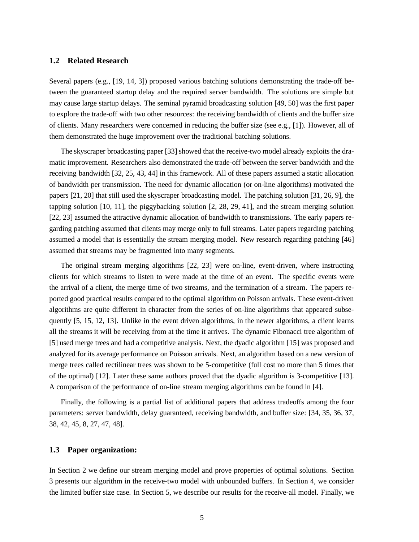# **1.2 Related Research**

Several papers (e.g., [19, 14, 3]) proposed various batching solutions demonstrating the trade-off between the guaranteed startup delay and the required server bandwidth. The solutions are simple but may cause large startup delays. The seminal pyramid broadcasting solution [49, 50] was the first paper to explore the trade-off with two other resources: the receiving bandwidth of clients and the buffer size of clients. Many researchers were concerned in reducing the buffer size (see e.g., [1]). However, all of them demonstrated the huge improvement over the traditional batching solutions.

The skyscraper broadcasting paper [33] showed that the receive-two model already exploits the dramatic improvement. Researchers also demonstrated the trade-off between the server bandwidth and the receiving bandwidth [32, 25, 43, 44] in this framework. All of these papers assumed a static allocation of bandwidth per transmission. The need for dynamic allocation (or on-line algorithms) motivated the papers [21, 20] that still used the skyscraper broadcasting model. The patching solution [31, 26, 9], the tapping solution [10, 11], the piggybacking solution [2, 28, 29, 41], and the stream merging solution [22, 23] assumed the attractive dynamic allocation of bandwidth to transmissions. The early papers regarding patching assumed that clients may merge only to full streams. Later papers regarding patching assumed a model that is essentially the stream merging model. New research regarding patching [46] assumed that streams may be fragmented into many segments.

The original stream merging algorithms [22, 23] were on-line, event-driven, where instructing clients for which streams to listen to were made at the time of an event. The specific events were the arrival of a client, the merge time of two streams, and the termination of a stream. The papers reported good practical results compared to the optimal algorithm on Poisson arrivals. These event-driven algorithms are quite different in character from the series of on-line algorithms that appeared subsequently [5, 15, 12, 13]. Unlike in the event driven algorithms, in the newer algorithms, a client learns all the streams it will be receiving from at the time it arrives. The dynamic Fibonacci tree algorithm of [5] used merge trees and had a competitive analysis. Next, the dyadic algorithm [15] was proposed and analyzed for its average performance on Poisson arrivals. Next, an algorithm based on a new version of merge trees called rectilinear trees was shown to be 5-competitive (full cost no more than 5 times that of the optimal) [12]. Later these same authors proved that the dyadic algorithm is 3-competitive [13]. A comparison of the performance of on-line stream merging algorithms can be found in [4].

Finally, the following is a partial list of additional papers that address tradeoffs among the four parameters: server bandwidth, delay guaranteed, receiving bandwidth, and buffer size: [34, 35, 36, 37, 38, 42, 45, 8, 27, 47, 48].

## **1.3 Paper organization:**

In Section 2 we define our stream merging model and prove properties of optimal solutions. Section 3 presents our algorithm in the receive-two model with unbounded buffers. In Section 4, we consider the limited buffer size case. In Section 5, we describe our results for the receive-all model. Finally, we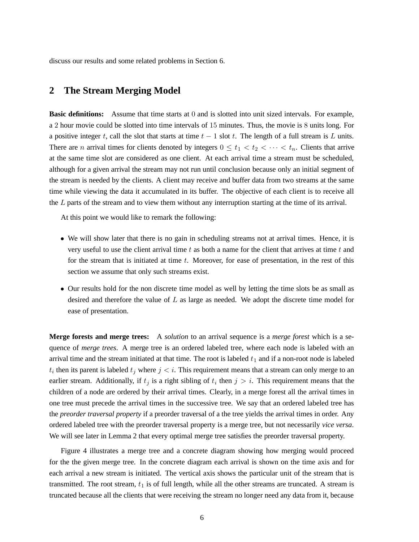discuss our results and some related problems in Section 6.

# **2 The Stream Merging Model**

**Basic definitions:** Assume that time starts at 0 and is slotted into unit sized intervals. For example, a 2 hour movie could be slotted into time intervals of 15 minutes. Thus, the movie is 8 units long. For a positive integer t, call the slot that starts at time  $t - 1$  slot t. The length of a full stream is L units. There are *n* arrival times for clients denoted by integers  $0 \le t_1 < t_2 < \cdots < t_n$ . Clients that arrive at the same time slot are considered as one client. At each arrival time a stream must be scheduled, although for a given arrival the stream may not run until conclusion because only an initial segment of the stream is needed by the clients. A client may receive and buffer data from two streams at the same time while viewing the data it accumulated in its buffer. The objective of each client is to receive all the L parts of the stream and to view them without any interruption starting at the time of its arrival.

At this point we would like to remark the following:

- We will show later that there is no gain in scheduling streams not at arrival times. Hence, it is very useful to use the client arrival time  $t$  as both a name for the client that arrives at time  $t$  and for the stream that is initiated at time t. Moreover, for ease of presentation, in the rest of this section we assume that only such streams exist.
- Our results hold for the non discrete time model as well by letting the time slots be as small as desired and therefore the value of L as large as needed. We adopt the discrete time model for ease of presentation.

**Merge forests and merge trees:** A *solution* to an arrival sequence is a *merge forest* which is a sequence of *merge trees*. A merge tree is an ordered labeled tree, where each node is labeled with an arrival time and the stream initiated at that time. The root is labeled  $t_1$  and if a non-root node is labeled  $t_i$  then its parent is labeled  $t_j$  where  $j < i$ . This requirement means that a stream can only merge to an earlier stream. Additionally, if  $t_j$  is a right sibling of  $t_i$  then  $j > i$ . This requirement means that the children of a node are ordered by their arrival times. Clearly, in a merge forest all the arrival times in one tree must precede the arrival times in the successive tree. We say that an ordered labeled tree has the *preorder traversal property* if a preorder traversal of a the tree yields the arrival times in order. Any ordered labeled tree with the preorder traversal property is a merge tree, but not necessarily *vice versa*. We will see later in Lemma 2 that every optimal merge tree satisfies the preorder traversal property.

Figure 4 illustrates a merge tree and a concrete diagram showing how merging would proceed for the the given merge tree. In the concrete diagram each arrival is shown on the time axis and for each arrival a new stream is initiated. The vertical axis shows the particular unit of the stream that is transmitted. The root stream,  $t_1$  is of full length, while all the other streams are truncated. A stream is truncated because all the clients that were receiving the stream no longer need any data from it, because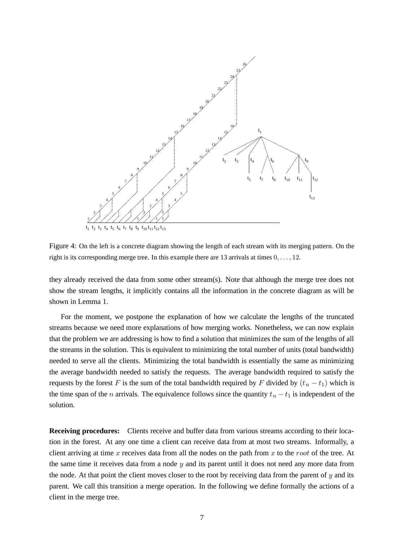

Figure 4: On the left is a concrete diagram showing the length of each stream with its merging pattern. On the right is its corresponding merge tree. In this example there are 13 arrivals at times 0, . . . , 12.

they already received the data from some other stream(s). Note that although the merge tree does not show the stream lengths, it implicitly contains all the information in the concrete diagram as will be shown in Lemma 1.

For the moment, we postpone the explanation of how we calculate the lengths of the truncated streams because we need more explanations of how merging works. Nonetheless, we can now explain that the problem we are addressing is how to find a solution that minimizes the sum of the lengths of all the streams in the solution. This is equivalent to minimizing the total number of units (total bandwidth) needed to serve all the clients. Minimizing the total bandwidth is essentially the same as minimizing the average bandwidth needed to satisfy the requests. The average bandwidth required to satisfy the requests by the forest F is the sum of the total bandwidth required by F divided by  $(t_n - t_1)$  which is the time span of the *n* arrivals. The equivalence follows since the quantity  $t_n - t_1$  is independent of the solution.

**Receiving procedures:** Clients receive and buffer data from various streams according to their location in the forest. At any one time a client can receive data from at most two streams. Informally, a client arriving at time x receives data from all the nodes on the path from x to the root of the tree. At the same time it receives data from a node  $y$  and its parent until it does not need any more data from the node. At that point the client moves closer to the root by receiving data from the parent of  $y$  and its parent. We call this transition a merge operation. In the following we define formally the actions of a client in the merge tree.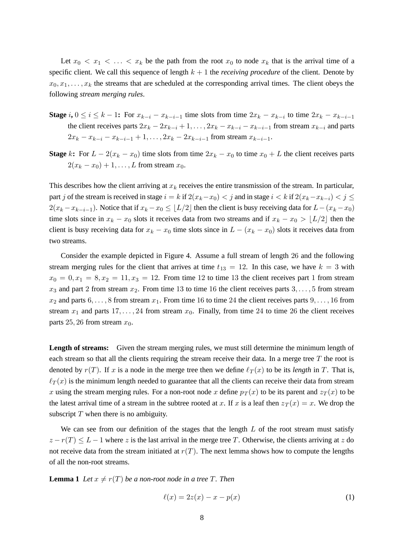Let  $x_0 < x_1 < \ldots < x_k$  be the path from the root  $x_0$  to node  $x_k$  that is the arrival time of a specific client. We call this sequence of length  $k + 1$  the *receiving procedure* of the client. Denote by  $x_0, x_1, \ldots, x_k$  the streams that are scheduled at the corresponding arrival times. The client obeys the following *stream merging rules*.

- **Stage**  $i, 0 \le i \le k 1$ : For  $x_{k-i} x_{k-i-1}$  time slots from time  $2x_k x_{k-i}$  to time  $2x_k x_{k-i-1}$ the client receives parts  $2x_k - 2x_{k-i} + 1, \ldots, 2x_k - x_{k-i} - x_{k-i-1}$  from stream  $x_{k-i}$  and parts  $2x_k - x_{k-i} - x_{k-i-1} + 1, \ldots, 2x_k - 2x_{k-i-1}$  from stream  $x_{k-i-1}$ .
- **Stage** k: For  $L 2(x_k x_0)$  time slots from time  $2x_k x_0$  to time  $x_0 + L$  the client receives parts  $2(x_k - x_0) + 1, \ldots, L$  from stream  $x_0$ .

This describes how the client arriving at  $x_k$  receives the entire transmission of the stream. In particular, part j of the stream is received in stage  $i = k$  if  $2(x_k-x_0) < j$  and in stage  $i < k$  if  $2(x_k-x_{k-i}) < j \leq$  $2(x_k - x_{k-i-1})$ . Notice that if  $x_k - x_0 \leq \lfloor L/2 \rfloor$  then the client is busy receiving data for  $L - (x_k - x_0)$ time slots since in  $x_k - x_0$  slots it receives data from two streams and if  $x_k - x_0 > |L/2|$  then the client is busy receiving data for  $x_k - x_0$  time slots since in  $L - (x_k - x_0)$  slots it receives data from two streams.

Consider the example depicted in Figure 4. Assume a full stream of length 26 and the following stream merging rules for the client that arrives at time  $t_{13} = 12$ . In this case, we have  $k = 3$  with  $x_0 = 0, x_1 = 8, x_2 = 11, x_3 = 12$ . From time 12 to time 13 the client receives part 1 from stream  $x_3$  and part 2 from stream  $x_2$ . From time 13 to time 16 the client receives parts  $3, \ldots, 5$  from stream  $x_2$  and parts  $6, \ldots, 8$  from stream  $x_1$ . From time 16 to time 24 the client receives parts  $9, \ldots, 16$  from stream  $x_1$  and parts  $17, \ldots, 24$  from stream  $x_0$ . Finally, from time 24 to time 26 the client receives parts 25, 26 from stream  $x_0$ .

**Length of streams:** Given the stream merging rules, we must still determine the minimum length of each stream so that all the clients requiring the stream receive their data. In a merge tree  $T$  the root is denoted by  $r(T)$ . If x is a node in the merge tree then we define  $\ell_T (x)$  to be its *length* in T. That is,  $\ell_T(x)$  is the minimum length needed to guarantee that all the clients can receive their data from stream x using the stream merging rules. For a non-root node x define  $p_T(x)$  to be its parent and  $z_T(x)$  to be the latest arrival time of a stream in the subtree rooted at x. If x is a leaf then  $z_T(x) = x$ . We drop the subscript  $T$  when there is no ambiguity.

We can see from our definition of the stages that the length  $L$  of the root stream must satisfy  $z - r(T) \leq L - 1$  where z is the last arrival in the merge tree T. Otherwise, the clients arriving at z do not receive data from the stream initiated at  $r(T)$ . The next lemma shows how to compute the lengths of all the non-root streams.

**Lemma** 1 *Let*  $x \neq r(T)$  *be a non-root node in a tree* T. Then

$$
\ell(x) = 2z(x) - x - p(x) \tag{1}
$$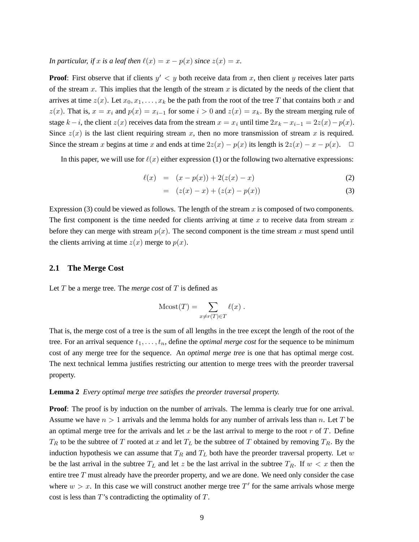*In particular, if* x *is a leaf then*  $\ell(x) = x - p(x)$  *since*  $z(x) = x$ *.* 

**Proof**: First observe that if clients  $y' < y$  both receive data from x, then client y receives later parts of the stream x. This implies that the length of the stream x is dictated by the needs of the client that arrives at time  $z(x)$ . Let  $x_0, x_1, \ldots, x_k$  be the path from the root of the tree T that contains both x and  $z(x)$ . That is,  $x = x_i$  and  $p(x) = x_{i-1}$  for some  $i > 0$  and  $z(x) = x_k$ . By the stream merging rule of stage k – i, the client  $z(x)$  receives data from the stream  $x = x_i$  until time  $2x_k - x_{i-1} = 2z(x) - p(x)$ . Since  $z(x)$  is the last client requiring stream x, then no more transmission of stream x is required. Since the stream x begins at time x and ends at time  $2z(x) - p(x)$  its length is  $2z(x) - x - p(x)$ .  $\Box$ 

In this paper, we will use for  $\ell(x)$  either expression (1) or the following two alternative expressions:

$$
\ell(x) = (x - p(x)) + 2(z(x) - x) \tag{2}
$$

$$
= (z(x) - x) + (z(x) - p(x))
$$
\n(3)

Expression (3) could be viewed as follows. The length of the stream  $x$  is composed of two components. The first component is the time needed for clients arriving at time x to receive data from stream  $x$ before they can merge with stream  $p(x)$ . The second component is the time stream x must spend until the clients arriving at time  $z(x)$  merge to  $p(x)$ .

## **2.1 The Merge Cost**

Let T be a merge tree. The *merge cost* of T is defined as

$$
M\text{cost}(T) = \sum_{x \neq r(T) \in T} \ell(x) .
$$

That is, the merge cost of a tree is the sum of all lengths in the tree except the length of the root of the tree. For an arrival sequence  $t_1, \ldots, t_n$ , define the *optimal merge cost* for the sequence to be minimum cost of any merge tree for the sequence. An *optimal merge tree* is one that has optimal merge cost. The next technical lemma justifies restricting our attention to merge trees with the preorder traversal property.

#### **Lemma 2** *Every optimal merge tree satisfies the preorder traversal property.*

**Proof:** The proof is by induction on the number of arrivals. The lemma is clearly true for one arrival. Assume we have  $n > 1$  arrivals and the lemma holds for any number of arrivals less than n. Let T be an optimal merge tree for the arrivals and let  $x$  be the last arrival to merge to the root  $r$  of  $T$ . Define  $T_R$  to be the subtree of T rooted at x and let  $T_L$  be the subtree of T obtained by removing  $T_R$ . By the induction hypothesis we can assume that  $T_R$  and  $T_L$  both have the preorder traversal property. Let w be the last arrival in the subtree  $T_L$  and let z be the last arrival in the subtree  $T_R$ . If  $w < x$  then the entire tree T must already have the preorder property, and we are done. We need only consider the case where  $w > x$ . In this case we will construct another merge tree T' for the same arrivals whose merge cost is less than T's contradicting the optimality of T.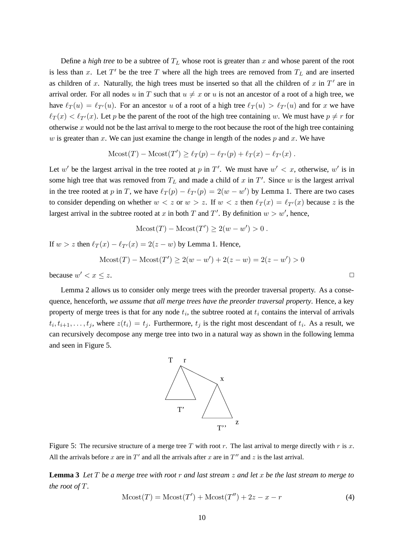Define a *high tree* to be a subtree of  $T_L$  whose root is greater than x and whose parent of the root is less than x. Let  $T'$  be the tree T where all the high trees are removed from  $T_L$  and are inserted as children of x. Naturally, the high trees must be inserted so that all the children of x in  $T'$  are in arrival order. For all nodes u in T such that  $u \neq x$  or u is not an ancestor of a root of a high tree, we have  $\ell_T (u) = \ell_{T'} (u)$ . For an ancestor u of a root of a high tree  $\ell_T (u) > \ell_{T'} (u)$  and for x we have  $\ell_T(x) < \ell_{T}(x)$ . Let p be the parent of the root of the high tree containing w. We must have  $p \neq r$  for otherwise  $x$  would not be the last arrival to merge to the root because the root of the high tree containing w is greater than x. We can just examine the change in length of the nodes  $p$  and x. We have

$$
\text{Mcost}(T) - \text{Mcost}(T') \ge \ell_T(p) - \ell_{T'}(p) + \ell_T(x) - \ell_{T'}(x) .
$$

Let w' be the largest arrival in the tree rooted at p in T'. We must have  $w' < x$ , otherwise, w' is in some high tree that was removed from  $T_L$  and made a child of x in T'. Since w is the largest arrival in the tree rooted at p in T, we have  $\ell_T(p) - \ell_{T'}(p) = 2(w - w')$  by Lemma 1. There are two cases to consider depending on whether  $w < z$  or  $w > z$ . If  $w < z$  then  $\ell_T (x) = \ell_{T'} (x)$  because z is the largest arrival in the subtree rooted at x in both T and T'. By definition  $w > w'$ , hence,

$$
M\text{cost}(T) - M\text{cost}(T') \ge 2(w - w') > 0.
$$

If  $w > z$  then  $\ell_T (x) - \ell_{T'} (x) = 2(z - w)$  by Lemma 1. Hence,

$$
M\text{cost}(T) - M\text{cost}(T') \ge 2(w - w') + 2(z - w) = 2(z - w') > 0
$$

because  $w' < x < z$ .  $0 < x \leq z$ .

Lemma 2 allows us to consider only merge trees with the preorder traversal property. As a consequence, henceforth, *we assume that all merge trees have the preorder traversal property*. Hence, a key property of merge trees is that for any node  $t_i$ , the subtree rooted at  $t_i$  contains the interval of arrivals  $t_i, t_{i+1}, \ldots, t_j$ , where  $z(t_i) = t_j$ . Furthermore,  $t_j$  is the right most descendant of  $t_i$ . As a result, we can recursively decompose any merge tree into two in a natural way as shown in the following lemma and seen in Figure 5.



Figure 5: The recursive structure of a merge tree T with root r. The last arrival to merge directly with r is x. All the arrivals before x are in  $T'$  and all the arrivals after x are in  $T''$  and z is the last arrival.

**Lemma 3** Let T be a merge tree with root r and last stream  $z$  and let x be the last stream to merge to *the root of* T*.*

$$
M\text{cost}(T) = M\text{cost}(T') + M\text{cost}(T'') + 2z - x - r \tag{4}
$$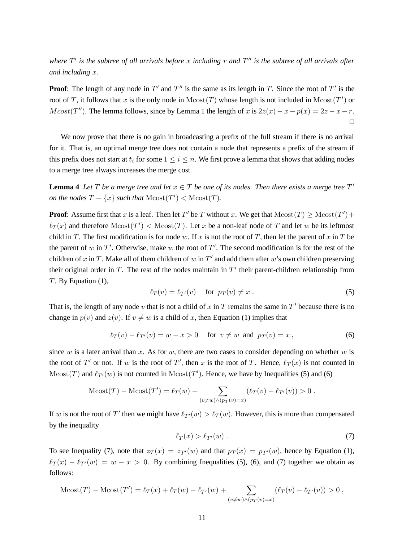where  $T'$  is the subtree of all arrivals before x including r and  $T''$  is the subtree of all arrivals after *and including* x*.*

**Proof:** The length of any node in  $T'$  and  $T''$  is the same as its length in T. Since the root of  $T'$  is the root of T, it follows that x is the only node in  $Mcost(T)$  whose length is not included in  $Mcost(T')$  or  $Mcost(T'')$ . The lemma follows, since by Lemma 1 the length of x is  $2z(x) - x - p(x) = 2z - x - r$ .  $\Box$ 

We now prove that there is no gain in broadcasting a prefix of the full stream if there is no arrival for it. That is, an optimal merge tree does not contain a node that represents a prefix of the stream if this prefix does not start at  $t_i$  for some  $1 \leq i \leq n$ . We first prove a lemma that shows that adding nodes to a merge tree always increases the merge cost.

**Lemma 4** Let T be a merge tree and let  $x \in T$  be one of its nodes. Then there exists a merge tree  $T'$ *on the nodes*  $T - \{x\}$  *such that*  $Mcost(T') < Mcost(T)$ *.* 

**Proof**: Assume first that x is a leaf. Then let T' be T without x. We get that  $Mcost(T) \geq Mcost(T') +$  $\ell_T(x)$  and therefore  $Mcost(T') < Mcost(T)$ . Let x be a non-leaf node of T and let w be its leftmost child in T. The first modification is for node w. If x is not the root of T, then let the parent of x in T be the parent of w in  $T'$ . Otherwise, make w the root of  $T'$ . The second modification is for the rest of the children of x in T. Make all of them children of w in  $T'$  and add them after w's own children preserving their original order in  $T$ . The rest of the nodes maintain in  $T'$  their parent-children relationship from T. By Equation (1),

$$
\ell_T(v) = \ell_{T'}(v) \quad \text{for } p_T(v) \neq x \,.
$$
 (5)

That is, the length of any node v that is not a child of x in T remains the same in  $T'$  because there is no change in  $p(v)$  and  $z(v)$ . If  $v \neq w$  is a child of x, then Equation (1) implies that

$$
\ell_T(v) - \ell_{T'}(v) = w - x > 0
$$
 for  $v \neq w$  and  $p_T(v) = x$ , (6)

since w is a later arrival than x. As for w, there are two cases to consider depending on whether w is the root of T' or not. If w is the root of T', then x is the root of T. Hence,  $\ell_T(x)$  is not counted in  $Mcost(T)$  and  $\ell_{T'}(w)$  is not counted in  $Mcost(T')$ . Hence, we have by Inequalities (5) and (6)

$$
M\text{cost}(T) - M\text{cost}(T') = \ell_T(w) + \sum_{(v \neq w) \land (p_T(v) = x)} (\ell_T(v) - \ell_{T'}(v)) > 0.
$$

If w is not the root of T' then we might have  $\ell_{T}(w) > \ell_T(w)$ . However, this is more than compensated by the inequality

$$
\ell_T(x) > \ell_{T'}(w) \tag{7}
$$

To see Inequality (7), note that  $z_T(x) = z_{T}(w)$  and that  $p_T(x) = p_{T}(w)$ , hence by Equation (1),  $\ell_T (x) - \ell_{T'} (w) = w - x > 0$ . By combining Inequalities (5), (6), and (7) together we obtain as follows:

$$
M\text{cost}(T) - M\text{cost}(T') = \ell_T(x) + \ell_T(w) - \ell_{T'}(w) + \sum_{(v \neq w) \land (p_T(v) = x)} (\ell_T(v) - \ell_{T'}(v)) > 0,
$$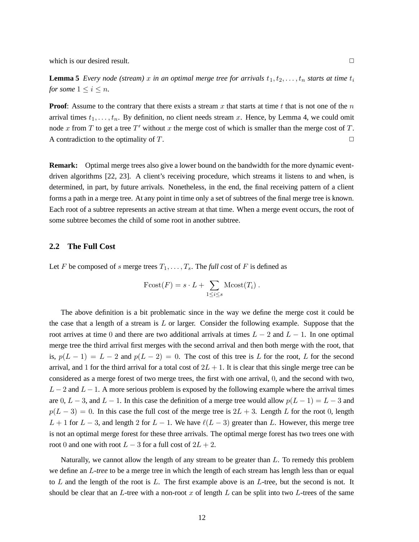which is our desired result.  $\Box$ 

**Lemma 5** *Every node* (stream) x in an optimal merge tree for arrivals  $t_1, t_2, \ldots, t_n$  starts at time  $t_i$ *for some*  $1 \leq i \leq n$ *.* 

**Proof**: Assume to the contrary that there exists a stream x that starts at time t that is not one of the  $n$ arrival times  $t_1, \ldots, t_n$ . By definition, no client needs stream x. Hence, by Lemma 4, we could omit node x from T to get a tree T' without x the merge cost of which is smaller than the merge cost of T. A contradiction to the optimality of  $T$ .

**Remark:** Optimal merge trees also give a lower bound on the bandwidth for the more dynamic eventdriven algorithms [22, 23]. A client's receiving procedure, which streams it listens to and when, is determined, in part, by future arrivals. Nonetheless, in the end, the final receiving pattern of a client forms a path in a merge tree. At any point in time only a set of subtrees of the final merge tree is known. Each root of a subtree represents an active stream at that time. When a merge event occurs, the root of some subtree becomes the child of some root in another subtree.

## **2.2 The Full Cost**

Let F be composed of s merge trees  $T_1, \ldots, T_s$ . The *full cost* of F is defined as

$$
\text{Fcost}(F) = s \cdot L + \sum_{1 \leq i \leq s} \text{Mcost}(T_i) \ .
$$

The above definition is a bit problematic since in the way we define the merge cost it could be the case that a length of a stream is  $L$  or larger. Consider the following example. Suppose that the root arrives at time 0 and there are two additional arrivals at times  $L - 2$  and  $L - 1$ . In one optimal merge tree the third arrival first merges with the second arrival and then both merge with the root, that is,  $p(L-1) = L-2$  and  $p(L-2) = 0$ . The cost of this tree is L for the root, L for the second arrival, and 1 for the third arrival for a total cost of  $2L + 1$ . It is clear that this single merge tree can be considered as a merge forest of two merge trees, the first with one arrival, 0, and the second with two,  $L - 2$  and  $L - 1$ . A more serious problem is exposed by the following example where the arrival times are 0, L − 3, and L − 1. In this case the definition of a merge tree would allow  $p(L-1) = L-3$  and  $p(L-3) = 0$ . In this case the full cost of the merge tree is  $2L + 3$ . Length L for the root 0, length  $L + 1$  for  $L - 3$ , and length 2 for  $L - 1$ . We have  $\ell(L - 3)$  greater than L. However, this merge tree is not an optimal merge forest for these three arrivals. The optimal merge forest has two trees one with root 0 and one with root  $L - 3$  for a full cost of  $2L + 2$ .

Naturally, we cannot allow the length of any stream to be greater than  $L$ . To remedy this problem we define an L*-tree* to be a merge tree in which the length of each stream has length less than or equal to L and the length of the root is  $L$ . The first example above is an  $L$ -tree, but the second is not. It should be clear that an L-tree with a non-root x of length L can be split into two L-trees of the same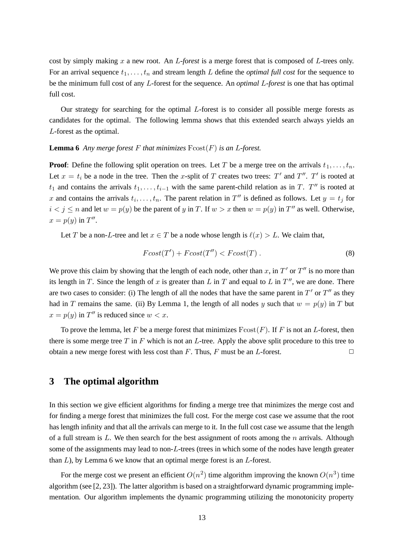cost by simply making x a new root. An L*-forest* is a merge forest that is composed of L-trees only. For an arrival sequence  $t_1, \ldots, t_n$  and stream length L define the *optimal full cost* for the sequence to be the minimum full cost of any L-forest for the sequence. An *optimal* L*-forest* is one that has optimal full cost.

Our strategy for searching for the optimal  $L$ -forest is to consider all possible merge forests as candidates for the optimal. The following lemma shows that this extended search always yields an L-forest as the optimal.

### **Lemma** 6 *Any merge forest*  $F$  *that minimizes*  $F\text{cost}(F)$  *is an L-forest.*

**Proof:** Define the following split operation on trees. Let T be a merge tree on the arrivals  $t_1, \ldots, t_n$ . Let  $x = t_i$  be a node in the tree. Then the x-split of T creates two trees: T' and T''. T' is rooted at  $t_1$  and contains the arrivals  $t_1, \ldots, t_{i-1}$  with the same parent-child relation as in T. T'' is rooted at x and contains the arrivals  $t_i, \ldots, t_n$ . The parent relation in  $T''$  is defined as follows. Let  $y = t_j$  for  $i < j \le n$  and let  $w = p(y)$  be the parent of y in T. If  $w > x$  then  $w = p(y)$  in T'' as well. Otherwise,  $x = p(y)$  in  $T''$ .

Let T be a non-L-tree and let  $x \in T$  be a node whose length is  $\ell(x) > L$ . We claim that,

$$
Fcost(T') + Fcost(T'') < Fcost(T). \tag{8}
$$

We prove this claim by showing that the length of each node, other than x, in  $T'$  or  $T''$  is no more than its length in T. Since the length of x is greater than L in T and equal to L in  $T''$ , we are done. There are two cases to consider: (i) The length of all the nodes that have the same parent in  $T'$  or  $T''$  as they had in T remains the same. (ii) By Lemma 1, the length of all nodes y such that  $w = p(y)$  in T but  $x = p(y)$  in  $T''$  is reduced since  $w < x$ .

To prove the lemma, let F be a merge forest that minimizes  $F\text{cost}(F)$ . If F is not an L-forest, then there is some merge tree  $T$  in  $F$  which is not an  $L$ -tree. Apply the above split procedure to this tree to obtain a new merge forest with less cost than F. Thus, F must be an L-forest.  $\square$ 

# **3 The optimal algorithm**

In this section we give efficient algorithms for finding a merge tree that minimizes the merge cost and for finding a merge forest that minimizes the full cost. For the merge cost case we assume that the root has length infinity and that all the arrivals can merge to it. In the full cost case we assume that the length of a full stream is  $L$ . We then search for the best assignment of roots among the  $n$  arrivals. Although some of the assignments may lead to non-L-trees (trees in which some of the nodes have length greater than  $L$ ), by Lemma 6 we know that an optimal merge forest is an  $L$ -forest.

For the merge cost we present an efficient  $O(n^2)$  time algorithm improving the known  $O(n^3)$  time algorithm (see [2, 23]). The latter algorithm is based on a straightforward dynamic programming implementation. Our algorithm implements the dynamic programming utilizing the monotonicity property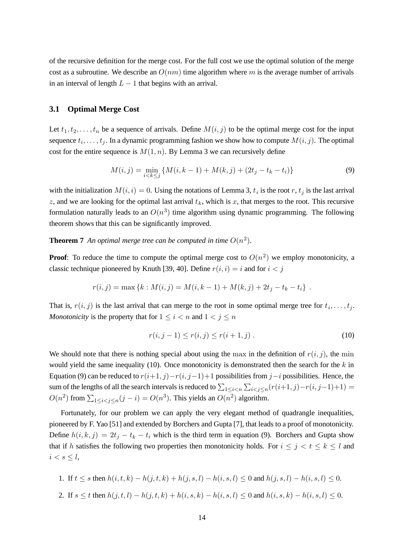of the recursive definition for the merge cost. For the full cost we use the optimal solution of the merge cost as a subroutine. We describe an  $O(nm)$  time algorithm where m is the average number of arrivals in an interval of length  $L - 1$  that begins with an arrival.

# **3.1 Optimal Merge Cost**

Let  $t_1, t_2, \ldots, t_n$  be a sequence of arrivals. Define  $M(i, j)$  to be the optimal merge cost for the input sequence  $t_i, \ldots, t_j$ . In a dynamic programming fashion we show how to compute  $M(i, j)$ . The optimal cost for the entire sequence is  $M(1, n)$ . By Lemma 3 we can recursively define

$$
M(i,j) = \min_{i < k \le j} \{ M(i, k-1) + M(k, j) + (2t_j - t_k - t_i) \} \tag{9}
$$

with the initialization  $M(i, i) = 0$ . Using the notations of Lemma 3,  $t_i$  is the root  $r$ ,  $t_j$  is the last arrival z, and we are looking for the optimal last arrival  $t_k$ , which is x, that merges to the root. This recursive formulation naturally leads to an  $O(n^3)$  time algorithm using dynamic programming. The following theorem shows that this can be significantly improved.

**Theorem 7** An optimal merge tree can be computed in time  $O(n^2)$ .

**Proof**: To reduce the time to compute the optimal merge cost to  $O(n^2)$  we employ monotonicity, a classic technique pioneered by Knuth [39, 40]. Define  $r(i, i) = i$  and for  $i < j$ 

$$
r(i, j) = \max \{k : M(i, j) = M(i, k - 1) + M(k, j) + 2t_j - t_k - t_i\}.
$$

That is,  $r(i, j)$  is the last arrival that can merge to the root in some optimal merge tree for  $t_i, \ldots, t_j$ . *Monotonicity* is the property that for  $1 \leq i < n$  and  $1 < j \leq n$ 

$$
r(i, j - 1) \le r(i, j) \le r(i + 1, j).
$$
\n(10)

We should note that there is nothing special about using the max in the definition of  $r(i, j)$ , the min would yield the same inequality (10). Once monotonicity is demonstrated then the search for the  $k$  in Equation (9) can be reduced to  $r(i+1, j)-r(i, j-1)+1$  possibilities from j $-i$  possibilities. Hence, the sum of the lengths of all the search intervals is reduced to  $\sum_{1 \leq i < n} \sum_{i < j \leq n} (r(i+1,j)-r(i,j-1)+1) =$  $O(n^2)$  from  $\sum_{1 \leq i < j \leq n} (j - i) = O(n^3)$ . This yields an  $O(n^2)$  algorithm.

Fortunately, for our problem we can apply the very elegant method of quadrangle inequalities, pioneered by F. Yao [51] and extended by Borchers and Gupta [7], that leads to a proof of monotonicity. Define  $h(i, k, j) = 2t_j - t_k - t_i$  which is the third term in equation (9). Borchers and Gupta show that if h satisfies the following two properties then monotonicity holds. For  $i \leq j \leq t \leq k \leq l$  and  $i < s \leq l$ ,

1. If 
$$
t \leq s
$$
 then  $h(i, t, k) - h(j, t, k) + h(j, s, l) - h(i, s, l) \leq 0$  and  $h(j, s, l) - h(i, s, l) \leq 0$ .

2. If  $s \leq t$  then  $h(j, t, l) - h(j, t, k) + h(i, s, k) - h(i, s, l) \leq 0$  and  $h(i, s, k) - h(i, s, l) \leq 0$ .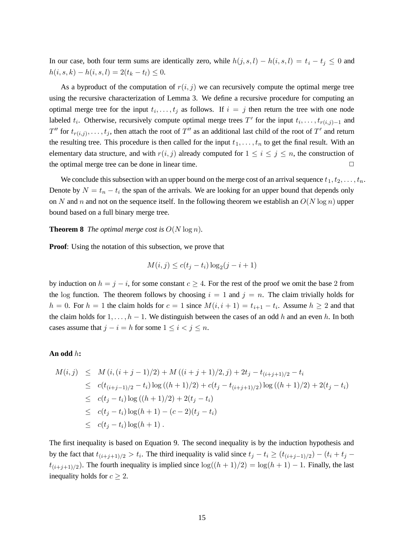In our case, both four term sums are identically zero, while  $h(j, s, l) - h(i, s, l) = t_i - t_j \leq 0$  and  $h(i, s, k) - h(i, s, l) = 2(t_k - t_l) \leq 0.$ 

As a byproduct of the computation of  $r(i, j)$  we can recursively compute the optimal merge tree using the recursive characterization of Lemma 3. We define a recursive procedure for computing an optimal merge tree for the input  $t_i, \ldots, t_j$  as follows. If  $i = j$  then return the tree with one node labeled  $t_i$ . Otherwise, recursively compute optimal merge trees T' for the input  $t_i, \ldots, t_{r(i,j)-1}$  and  $T''$  for  $t_{r(i,j)}, \ldots, t_j$ , then attach the root of  $T''$  as an additional last child of the root of  $T'$  and return the resulting tree. This procedure is then called for the input  $t_1, \ldots, t_n$  to get the final result. With an elementary data structure, and with  $r(i, j)$  already computed for  $1 \le i \le j \le n$ , the construction of the optimal merge tree can be done in linear time.  $\Box$ 

We conclude this subsection with an upper bound on the merge cost of an arrival sequence  $t_1, t_2, \ldots, t_n$ . Denote by  $N = t_n - t_i$  the span of the arrivals. We are looking for an upper bound that depends only on N and n and not on the sequence itself. In the following theorem we establish an  $O(N \log n)$  upper bound based on a full binary merge tree.

**Theorem 8** *The optimal merge cost is*  $O(N \log n)$ *.* 

**Proof:** Using the notation of this subsection, we prove that

$$
M(i,j) \le c(t_j - t_i) \log_2(j - i + 1)
$$

by induction on  $h = j - i$ , for some constant  $c \geq 4$ . For the rest of the proof we omit the base 2 from the log function. The theorem follows by choosing  $i = 1$  and  $j = n$ . The claim trivially holds for  $h = 0$ . For  $h = 1$  the claim holds for  $c = 1$  since  $M(i, i + 1) = t_{i+1} - t_i$ . Assume  $h \ge 2$  and that the claim holds for  $1, \ldots, h-1$ . We distinguish between the cases of an odd h and an even h. In both cases assume that  $j - i = h$  for some  $1 \le i < j \le n$ .

## **An odd** h**:**

$$
M(i,j) \leq M(i,(i+j-1)/2) + M((i+j+1)/2,j) + 2t_j - t_{(i+j+1)/2} - t_i
$$
  
\n
$$
\leq c(t_{(i+j-1)/2} - t_i) \log((h+1)/2) + c(t_j - t_{(i+j+1)/2}) \log((h+1)/2) + 2(t_j - t_i)
$$
  
\n
$$
\leq c(t_j - t_i) \log((h+1)/2) + 2(t_j - t_i)
$$
  
\n
$$
\leq c(t_j - t_i) \log(h+1) - (c-2)(t_j - t_i)
$$
  
\n
$$
\leq c(t_j - t_i) \log(h+1).
$$

The first inequality is based on Equation 9. The second inequality is by the induction hypothesis and by the fact that  $t_{(i+j+1)/2} > t_i$ . The third inequality is valid since  $t_j - t_i \ge (t_{(i+j-1)/2}) - (t_i + t_j - t_i)$  $t_{(i+j+1)/2}$ ). The fourth inequality is implied since  $\log((h+1)/2) = \log(h+1) - 1$ . Finally, the last inequality holds for  $c \geq 2$ .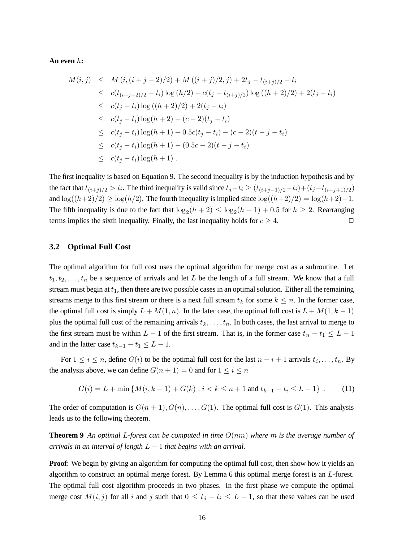#### **An even** h**:**

$$
M(i,j) \leq M(i, (i+j-2)/2) + M((i+j)/2, j) + 2t_j - t_{(i+j)/2} - t_i
$$
  
\n
$$
\leq c(t_{(i+j-2)/2} - t_i) \log (h/2) + c(t_j - t_{(i+j)/2}) \log ((h+2)/2) + 2(t_j - t_i)
$$
  
\n
$$
\leq c(t_j - t_i) \log ((h+2)/2) + 2(t_j - t_i)
$$
  
\n
$$
\leq c(t_j - t_i) \log (h+2) - (c-2)(t_j - t_i)
$$
  
\n
$$
\leq c(t_j - t_i) \log (h+1) + 0.5c(t_j - t_i) - (c-2)(t - j - t_i)
$$
  
\n
$$
\leq c(t_j - t_i) \log (h+1) - (0.5c - 2)(t - j - t_i)
$$
  
\n
$$
\leq c(t_j - t_i) \log (h+1).
$$

The first inequality is based on Equation 9. The second inequality is by the induction hypothesis and by the fact that  $t_{(i+j)/2} > t_i$ . The third inequality is valid since  $t_j-t_i \ge (t_{(i+j-1)/2}-t_i)+(t_j-t_{(i+j+1)/2})$ and  $\log((h+2)/2) \ge \log(h/2)$ . The fourth inequality is implied since  $\log((h+2)/2) = \log(h+2)-1$ . The fifth inequality is due to the fact that  $\log_2(h+2) \leq \log_2(h+1) + 0.5$  for  $h \geq 2$ . Rearranging terms implies the sixth inequality. Finally, the last inequality holds for  $c \geq 4$ .

## **3.2 Optimal Full Cost**

The optimal algorithm for full cost uses the optimal algorithm for merge cost as a subroutine. Let  $t_1, t_2, \ldots, t_n$  be a sequence of arrivals and let L be the length of a full stream. We know that a full stream must begin at  $t_1$ , then there are two possible cases in an optimal solution. Either all the remaining streams merge to this first stream or there is a next full stream  $t_k$  for some  $k \leq n$ . In the former case, the optimal full cost is simply  $L + M(1, n)$ . In the later case, the optimal full cost is  $L + M(1, k - 1)$ plus the optimal full cost of the remaining arrivals  $t_k, \ldots, t_n$ . In both cases, the last arrival to merge to the first stream must be within  $L - 1$  of the first stream. That is, in the former case  $t_n - t_1 \leq L - 1$ and in the latter case  $t_{k-1} - t_1 \leq L - 1$ .

For  $1 \leq i \leq n$ , define  $G(i)$  to be the optimal full cost for the last  $n - i + 1$  arrivals  $t_i, \ldots, t_n$ . By the analysis above, we can define  $G(n + 1) = 0$  and for  $1 \le i \le n$ 

$$
G(i) = L + \min \{ M(i, k - 1) + G(k) : i < k \le n + 1 \text{ and } t_{k-1} - t_i \le L - 1 \} . \tag{11}
$$

The order of computation is  $G(n + 1), G(n), \ldots, G(1)$ . The optimal full cost is  $G(1)$ . This analysis leads us to the following theorem.

**Theorem 9** An optimal L-forest can be computed in time  $O(nm)$  where m is the average number of *arrivals in an interval of length* L − 1 *that begins with an arrival.*

**Proof**: We begin by giving an algorithm for computing the optimal full cost, then show how it yields an algorithm to construct an optimal merge forest. By Lemma 6 this optimal merge forest is an L-forest. The optimal full cost algorithm proceeds in two phases. In the first phase we compute the optimal merge cost  $M(i, j)$  for all i and j such that  $0 \le t_j - t_i \le L - 1$ , so that these values can be used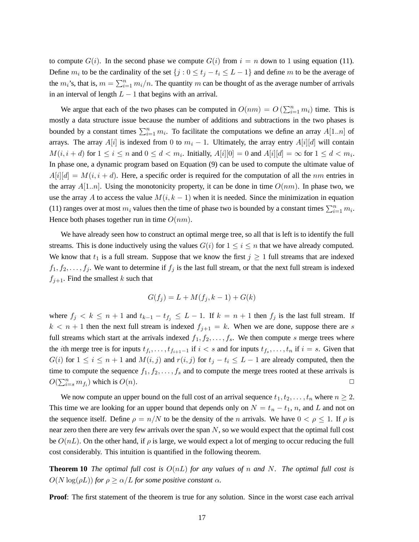to compute  $G(i)$ . In the second phase we compute  $G(i)$  from  $i = n$  down to 1 using equation (11). Define  $m_i$  to be the cardinality of the set  $\{j : 0 \le t_j - t_i \le L - 1\}$  and define m to be the average of the  $m_i$ 's, that is,  $m = \sum_{i=1}^n m_i/n$ . The quantity m can be thought of as the average number of arrivals in an interval of length  $L - 1$  that begins with an arrival.

We argue that each of the two phases can be computed in  $O(nm) = O\left(\sum_{i=1}^n m_i\right)$  time. This is mostly a data structure issue because the number of additions and subtractions in the two phases is bounded by a constant times  $\sum_{i=1}^n m_i$ . To facilitate the computations we define an array  $A[1..n]$  of arrays. The array A[i] is indexed from 0 to  $m<sub>i</sub> - 1$ . Ultimately, the array entry A[i][d] will contain  $M(i, i+d)$  for  $1 \leq i \leq n$  and  $0 \leq d < m_i$ . Initially,  $A[i][0] = 0$  and  $A[i][d] = \infty$  for  $1 \leq d < m_i$ . In phase one, a dynamic program based on Equation (9) can be used to compute the ultimate value of  $A[i][d] = M(i, i + d)$ . Here, a specific order is required for the computation of all the nm entries in the array  $A[1..n]$ . Using the monotonicity property, it can be done in time  $O(nm)$ . In phase two, we use the array A to access the value  $M(i, k - 1)$  when it is needed. Since the minimization in equation (11) ranges over at most  $m_i$  values then the time of phase two is bounded by a constant times  $\sum_{i=1}^n m_i$ . Hence both phases together run in time  $O(nm)$ .

We have already seen how to construct an optimal merge tree, so all that is left is to identify the full streams. This is done inductively using the values  $G(i)$  for  $1 \leq i \leq n$  that we have already computed. We know that  $t_1$  is a full stream. Suppose that we know the first  $j \geq 1$  full streams that are indexed  $f_1, f_2, \ldots, f_j$ . We want to determine if  $f_j$  is the last full stream, or that the next full stream is indexed  $f_{i+1}$ . Find the smallest k such that

$$
G(f_j) = L + M(f_j, k - 1) + G(k)
$$

where  $f_j < k \leq n+1$  and  $t_{k-1} - t_{f_j} \leq L-1$ . If  $k = n+1$  then  $f_j$  is the last full stream. If  $k < n + 1$  then the next full stream is indexed  $f_{j+1} = k$ . When we are done, suppose there are s full streams which start at the arrivals indexed  $f_1, f_2, \ldots, f_s$ . We then compute s merge trees where the *i*th merge tree is for inputs  $t_{f_i}, \ldots, t_{f_{i+1}-1}$  if  $i < s$  and for inputs  $t_{f_s}, \ldots, t_n$  if  $i = s$ . Given that  $G(i)$  for  $1 \le i \le n+1$  and  $M(i, j)$  and  $r(i, j)$  for  $t_j - t_i \le L-1$  are already computed, then the time to compute the sequence  $f_1, f_2, \ldots, f_s$  and to compute the merge trees rooted at these arrivals is  $O(\sum_{i=s}^{n} m_{f_i})$  which is  $O(n)$ .

We now compute an upper bound on the full cost of an arrival sequence  $t_1, t_2, \ldots, t_n$  where  $n \geq 2$ . This time we are looking for an upper bound that depends only on  $N = t_n - t_1$ , n, and L and not on the sequence itself. Define  $\rho = n/N$  to be the density of the n arrivals. We have  $0 < \rho \le 1$ . If  $\rho$  is near zero then there are very few arrivals over the span  $N$ , so we would expect that the optimal full cost be  $O(nL)$ . On the other hand, if  $\rho$  is large, we would expect a lot of merging to occur reducing the full cost considerably. This intuition is quantified in the following theorem.

**Theorem 10** The optimal full cost is  $O(nL)$  for any values of n and N. The optimal full cost is  $O(N \log(\rho L))$  *for*  $\rho \ge \alpha/L$  *for some positive constant*  $\alpha$ *.* 

**Proof**: The first statement of the theorem is true for any solution. Since in the worst case each arrival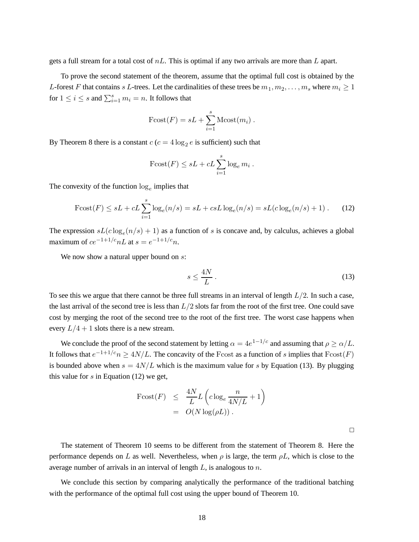gets a full stream for a total cost of  $nL$ . This is optimal if any two arrivals are more than L apart.

To prove the second statement of the theorem, assume that the optimal full cost is obtained by the L-forest F that contains s L-trees. Let the cardinalities of these trees be  $m_1, m_2, \ldots, m_s$  where  $m_i \geq 1$ for  $1 \leq i \leq s$  and  $\sum_{i=1}^{s} m_i = n$ . It follows that

$$
\text{Fcost}(F) = sL + \sum_{i=1}^{s} \text{Mcost}(m_i) .
$$

By Theorem 8 there is a constant  $c$  ( $c = 4 \log_2 e$  is sufficient) such that

$$
\text{Fcost}(F) \le sL + cL \sum_{i=1}^{s} \log_e m_i \,.
$$

The convexity of the function  $log_e$  implies that

$$
\text{Fcost}(F) \le sL + cL \sum_{i=1}^{s} \log_e(n/s) = sL + csL \log_e(n/s) = sL(c \log_e(n/s) + 1). \tag{12}
$$

The expression  $sL(c \log_e(n/s) + 1)$  as a function of s is concave and, by calculus, achieves a global maximum of  $ce^{-1+1/c}nL$  at  $s = e^{-1+1/c}n$ .

We now show a natural upper bound on s:

$$
s \le \frac{4N}{L} \,. \tag{13}
$$

To see this we argue that there cannot be three full streams in an interval of length  $L/2$ . In such a case, the last arrival of the second tree is less than  $L/2$  slots far from the root of the first tree. One could save cost by merging the root of the second tree to the root of the first tree. The worst case happens when every  $L/4 + 1$  slots there is a new stream.

We conclude the proof of the second statement by letting  $\alpha = 4e^{1-1/c}$  and assuming that  $\rho \ge \alpha/L$ . It follows that  $e^{-1+1/c}n \geq 4N/L$ . The concavity of the Fcost as a function of s implies that  $Fcost(F)$ is bounded above when  $s = 4N/L$  which is the maximum value for s by Equation (13). By plugging this value for  $s$  in Equation (12) we get,

$$
\begin{array}{rcl}\n\text{Fcost}(F) & \leq & \frac{4N}{L}L\left(c\log_e\frac{n}{4N/L} + 1\right) \\
& = & O(N\log(\rho L))\,.\n\end{array}
$$

 $\Box$ 

The statement of Theorem 10 seems to be different from the statement of Theorem 8. Here the performance depends on L as well. Nevertheless, when  $\rho$  is large, the term  $\rho L$ , which is close to the average number of arrivals in an interval of length  $L$ , is analogous to  $n$ .

We conclude this section by comparing analytically the performance of the traditional batching with the performance of the optimal full cost using the upper bound of Theorem 10.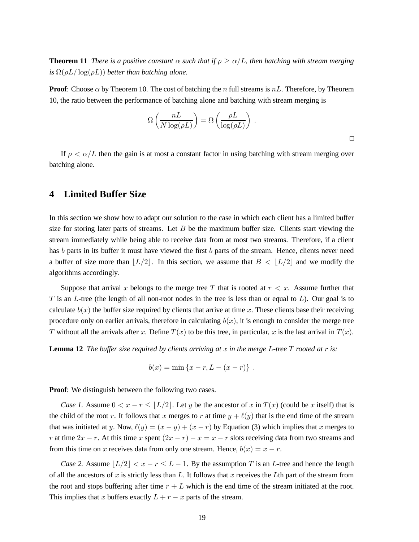**Theorem 11** *There is a positive constant*  $\alpha$  *such that* if  $\rho \geq \alpha/L$ , *then batching with stream merging*  $i\int$   $\Omega(\rho L/\log(\rho L))$  *better than batching alone.* 

**Proof**: Choose  $\alpha$  by Theorem 10. The cost of batching the n full streams is  $nL$ . Therefore, by Theorem 10, the ratio between the performance of batching alone and batching with stream merging is

$$
\Omega\left(\frac{nL}{N\log(\rho L)}\right) = \Omega\left(\frac{\rho L}{\log(\rho L)}\right) .
$$

 $\Box$ 

If  $\rho < \alpha/L$  then the gain is at most a constant factor in using batching with stream merging over batching alone.

# **4 Limited Buffer Size**

In this section we show how to adapt our solution to the case in which each client has a limited buffer size for storing later parts of streams. Let  $B$  be the maximum buffer size. Clients start viewing the stream immediately while being able to receive data from at most two streams. Therefore, if a client has b parts in its buffer it must have viewed the first b parts of the stream. Hence, clients never need a buffer of size more than  $\lfloor L/2 \rfloor$ . In this section, we assume that  $B < \lfloor L/2 \rfloor$  and we modify the algorithms accordingly.

Suppose that arrival x belongs to the merge tree T that is rooted at  $r < x$ . Assume further that T is an  $L$ -tree (the length of all non-root nodes in the tree is less than or equal to  $L$ ). Our goal is to calculate  $b(x)$  the buffer size required by clients that arrive at time x. These clients base their receiving procedure only on earlier arrivals, therefore in calculating  $b(x)$ , it is enough to consider the merge tree T without all the arrivals after x. Define  $T(x)$  to be this tree, in particular, x is the last arrival in  $T(x)$ .

**Lemma 12** *The buffer size required by clients arriving at* x *in the merge* L*-tree* T *rooted at* r *is:*

$$
b(x) = \min\{x - r, L - (x - r)\} .
$$

**Proof:** We distinguish between the following two cases.

*Case 1.* Assume  $0 < x - r \leq \lfloor L/2 \rfloor$ . Let y be the ancestor of x in  $T(x)$  (could be x itself) that is the child of the root r. It follows that x merges to r at time  $y + \ell(y)$  that is the end time of the stream that was initiated at y. Now,  $\ell(y) = (x - y) + (x - r)$  by Equation (3) which implies that x merges to r at time  $2x - r$ . At this time x spent  $(2x - r) - x = x - r$  slots receiving data from two streams and from this time on x receives data from only one stream. Hence,  $b(x) = x - r$ .

*Case* 2. Assume  $|L/2| < x - r \leq L - 1$ . By the assumption T is an L-tree and hence the length of all the ancestors of x is strictly less than L. It follows that x receives the Lth part of the stream from the root and stops buffering after time  $r + L$  which is the end time of the stream initiated at the root. This implies that x buffers exactly  $L + r - x$  parts of the stream.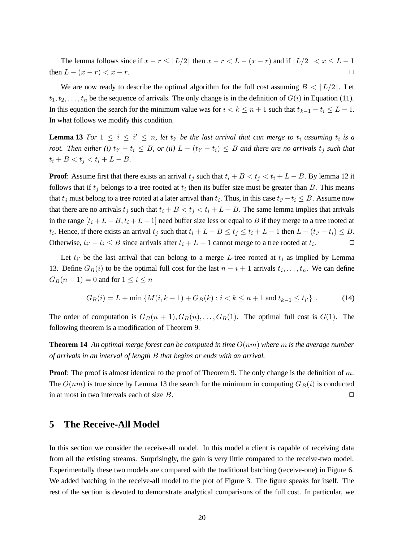The lemma follows since if  $x - r \leq \lfloor L/2 \rfloor$  then  $x - r < L - (x - r)$  and if  $\lfloor L/2 \rfloor < x \leq L - 1$ then  $L - (x - r) < x - r$ .

We are now ready to describe the optimal algorithm for the full cost assuming  $B < |L/2|$ . Let  $t_1, t_2, \ldots, t_n$  be the sequence of arrivals. The only change is in the definition of  $G(i)$  in Equation (11). In this equation the search for the minimum value was for  $i < k \le n + 1$  such that  $t_{k-1} - t_i \le L - 1$ . In what follows we modify this condition.

**Lemma** 13 For  $1 \leq i \leq i' \leq n$ , let  $t_{i'}$  be the last arrival that can merge to  $t_i$  assuming  $t_i$  is a *root.* Then either (i)  $t_{i'} - t_i \leq B$ , or (ii)  $L - (t_{i'} - t_i) \leq B$  and there are no arrivals  $t_j$  such that  $t_i + B < t_j < t_i + L - B$ .

**Proof**: Assume first that there exists an arrival  $t_j$  such that  $t_i + B < t_j < t_i + L - B$ . By lemma 12 it follows that if  $t_j$  belongs to a tree rooted at  $t_i$  then its buffer size must be greater than B. This means that  $t_j$  must belong to a tree rooted at a later arrival than  $t_i$ . Thus, in this case  $t_{i'}-t_i \leq B$ . Assume now that there are no arrivals  $t_i$  such that  $t_i + B < t_j < t_i + L - B$ . The same lemma implies that arrivals in the range  $[t_i + L - B, t_i + L - 1]$  need buffer size less or equal to B if they merge to a tree rooted at t<sub>i</sub>. Hence, if there exists an arrival t<sub>j</sub> such that  $t_i + L - B \le t_j \le t_i + L - 1$  then  $L - (t_{i'} - t_i) \le B$ . Otherwise,  $t_{i'} - t_i \leq B$  since arrivals after  $t_i + L - 1$  cannot merge to a tree rooted at  $t_i$  $\Box$ 

Let  $t_{i'}$  be the last arrival that can belong to a merge L-tree rooted at  $t_i$  as implied by Lemma 13. Define  $G_B(i)$  to be the optimal full cost for the last  $n - i + 1$  arrivals  $t_i, \ldots, t_n$ . We can define  $G_B(n+1) = 0$  and for  $1 \le i \le n$ 

$$
G_B(i) = L + \min \{ M(i, k - 1) + G_B(k) : i < k \le n + 1 \text{ and } t_{k-1} \le t_{i'} \} . \tag{14}
$$

The order of computation is  $G_B(n + 1), G_B(n), \ldots, G_B(1)$ . The optimal full cost is  $G(1)$ . The following theorem is a modification of Theorem 9.

**Theorem 14** An optimal merge forest can be computed in time  $O(nm)$  where m is the average number *of arrivals in an interval of length* B *that begins or ends with an arrival.*

**Proof:** The proof is almost identical to the proof of Theorem 9. The only change is the definition of m. The  $O(nm)$  is true since by Lemma 13 the search for the minimum in computing  $G_B(i)$  is conducted in at most in two intervals each of size  $B$ .

# **5 The Receive-All Model**

In this section we consider the receive-all model. In this model a client is capable of receiving data from all the existing streams. Surprisingly, the gain is very little compared to the receive-two model. Experimentally these two models are compared with the traditional batching (receive-one) in Figure 6. We added batching in the receive-all model to the plot of Figure 3. The figure speaks for itself. The rest of the section is devoted to demonstrate analytical comparisons of the full cost. In particular, we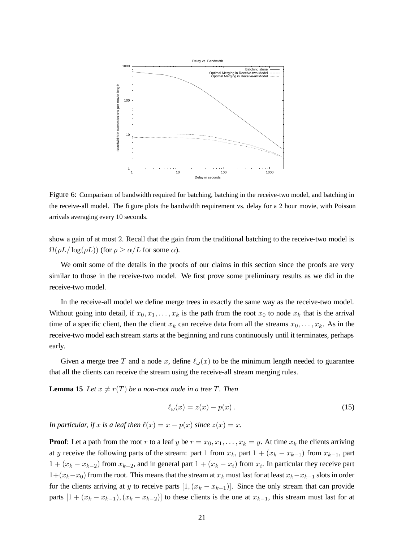

Figure 6: Comparison of bandwidth required for batching, batching in the receive-two model, and batching in the receive-all model. The figure plots the bandwidth requirement vs. delay for a 2 hour movie, with Poisson arrivals averaging every 10 seconds.

show a gain of at most 2. Recall that the gain from the traditional batching to the receive-two model is  $\Omega(\rho L/\log(\rho L))$  (for  $\rho \ge \alpha/L$  for some  $\alpha$ ).

We omit some of the details in the proofs of our claims in this section since the proofs are very similar to those in the receive-two model. We first prove some preliminary results as we did in the receive-two model.

In the receive-all model we define merge trees in exactly the same way as the receive-two model. Without going into detail, if  $x_0, x_1, \ldots, x_k$  is the path from the root  $x_0$  to node  $x_k$  that is the arrival time of a specific client, then the client  $x_k$  can receive data from all the streams  $x_0, \ldots, x_k$ . As in the receive-two model each stream starts at the beginning and runs continuously until it terminates, perhaps early.

Given a merge tree T and a node x, define  $\ell_{\omega}(x)$  to be the minimum length needed to guarantee that all the clients can receive the stream using the receive-all stream merging rules.

**Lemma 15** *Let*  $x \neq r(T)$  *be a non-root node in a tree T. Then* 

$$
\ell_{\omega}(x) = z(x) - p(x) \,. \tag{15}
$$

*In particular, if* x *is a leaf then*  $\ell(x) = x - p(x)$  *since*  $z(x) = x$ *.* 

**Proof**: Let a path from the root r to a leaf y be  $r = x_0, x_1, \ldots, x_k = y$ . At time  $x_k$  the clients arriving at y receive the following parts of the stream: part 1 from  $x_k$ , part  $1 + (x_k - x_{k-1})$  from  $x_{k-1}$ , part  $1 + (x_k - x_{k-2})$  from  $x_{k-2}$ , and in general part  $1 + (x_k - x_i)$  from  $x_i$ . In particular they receive part  $1+(x_k-x_0)$  from the root. This means that the stream at  $x_k$  must last for at least  $x_k-x_{k-1}$  slots in order for the clients arriving at y to receive parts  $[1,(x_k - x_{k-1})]$ . Since the only stream that can provide parts  $[1 + (x_k - x_{k-1}), (x_k - x_{k-2})]$  to these clients is the one at  $x_{k-1}$ , this stream must last for at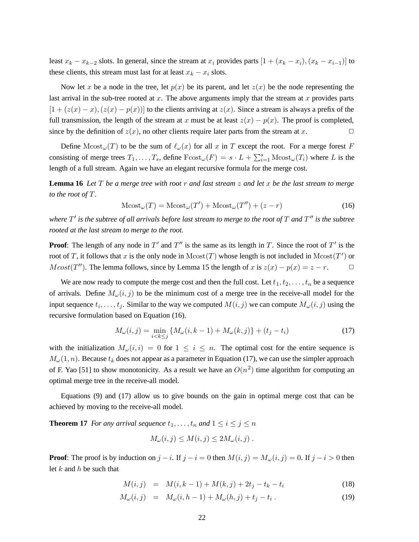least  $x_k - x_{k-2}$  slots. In general, since the stream at  $x_i$  provides parts  $[1 + (x_k - x_i), (x_k - x_{i-1})]$  to these clients, this stream must last for at least  $x_k - x_i$  slots.

Now let x be a node in the tree, let  $p(x)$  be its parent, and let  $z(x)$  be the node representing the last arrival in the sub-tree rooted at  $x$ . The above arguments imply that the stream at  $x$  provides parts  $[1 + (z(x) - x), (z(x) - p(x))]$  to the clients arriving at  $z(x)$ . Since a stream is always a prefix of the full transmission, the length of the stream at x must be at least  $z(x) - p(x)$ . The proof is completed, since by the definition of  $z(x)$ , no other clients require later parts from the stream at x.

Define  $Mcost_\omega(T)$  to be the sum of  $\ell_\omega(x)$  for all x in T except the root. For a merge forest F consisting of merge trees  $T_1, \ldots, T_s$ , define  $Fcost_\omega(F) = s \cdot L + \sum_{i=1}^s \text{Mcost}_\omega(T_i)$  where L is the length of a full stream. Again we have an elegant recursive formula for the merge cost.

**Lemma 16** Let T be a merge tree with root r and last stream  $z$  and let x be the last stream to merge *to the root of* T*.*

$$
\text{Mcost}_{\omega}(T) = \text{Mcost}_{\omega}(T') + \text{Mcost}_{\omega}(T'') + (z - r) \tag{16}
$$

where  $T'$  is the subtree of all arrivals before last stream to merge to the root of  $T$  and  $T''$  is the subtree *rooted at the last stream to merge to the root.*

**Proof:** The length of any node in  $T'$  and  $T''$  is the same as its length in T. Since the root of  $T'$  is the root of T, it follows that x is the only node in  $Mcost(T)$  whose length is not included in  $Mcost(T')$  or  $Mcost(T'')$ . The lemma follows, since by Lemma 15 the length of x is  $z(x) - p(x) = z - r$ .  $\Box$ 

We are now ready to compute the merge cost and then the full cost. Let  $t_1, t_2, \ldots, t_n$  be a sequence of arrivals. Define  $M_{\omega}(i, j)$  to be the minimum cost of a merge tree in the receive-all model for the input sequence  $t_i, \ldots, t_j$ . Similar to the way we computed  $M(i, j)$  we can compute  $M_{\omega}(i, j)$  using the recursive formulation based on Equation (16).

$$
M_{\omega}(i,j) = \min_{i < k \le j} \{ M_{\omega}(i,k-1) + M_{\omega}(k,j) \} + (t_j - t_i) \tag{17}
$$

with the initialization  $M_{\omega}(i, i) = 0$  for  $1 \leq i \leq n$ . The optimal cost for the entire sequence is  $M_{\omega}(1, n)$ . Because  $t_k$  does not appear as a parameter in Equation (17), we can use the simpler approach of F. Yao [51] to show monotonicity. As a result we have an  $O(n^2)$  time algorithm for computing an optimal merge tree in the receive-all model.

Equations (9) and (17) allow us to give bounds on the gain in optimal merge cost that can be achieved by moving to the receive-all model.

**Theorem 17** *For any arrival sequence*  $t_1, \ldots, t_n$  *and*  $1 \le i \le j \le n$ 

$$
M_{\omega}(i,j) \leq M(i,j) \leq 2M_{\omega}(i,j).
$$

**Proof**: The proof is by induction on  $j - i$ . If  $j - i = 0$  then  $M(i, j) = M_{\omega}(i, j) = 0$ . If  $j - i > 0$  then let  $k$  and  $h$  be such that

$$
M(i,j) = M(i,k-1) + M(k,j) + 2t_j - t_k - t_i \tag{18}
$$

$$
M_{\omega}(i,j) = M_{\omega}(i,h-1) + M_{\omega}(h,j) + t_j - t_i.
$$
 (19)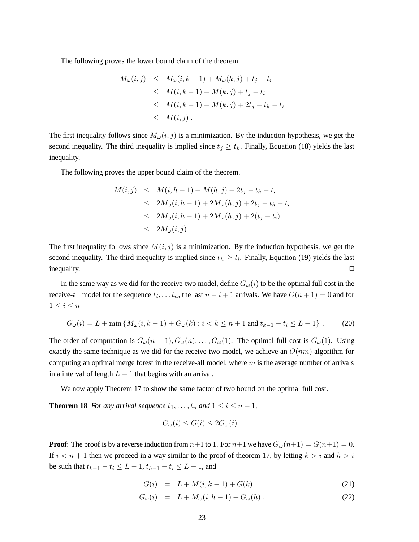The following proves the lower bound claim of the theorem.

$$
M_{\omega}(i,j) \leq M_{\omega}(i,k-1) + M_{\omega}(k,j) + t_j - t_i
$$
  
\n
$$
\leq M(i,k-1) + M(k,j) + t_j - t_i
$$
  
\n
$$
\leq M(i,k-1) + M(k,j) + 2t_j - t_k - t_i
$$
  
\n
$$
\leq M(i,j).
$$

The first inequality follows since  $M_{\omega}(i, j)$  is a minimization. By the induction hypothesis, we get the second inequality. The third inequality is implied since  $t_j \geq t_k$ . Finally, Equation (18) yields the last inequality.

The following proves the upper bound claim of the theorem.

$$
M(i,j) \leq M(i, h-1) + M(h, j) + 2t_j - t_h - t_i
$$
  
\n
$$
\leq 2M_{\omega}(i, h-1) + 2M_{\omega}(h, j) + 2t_j - t_h - t_i
$$
  
\n
$$
\leq 2M_{\omega}(i, h-1) + 2M_{\omega}(h, j) + 2(t_j - t_i)
$$
  
\n
$$
\leq 2M_{\omega}(i, j).
$$

The first inequality follows since  $M(i, j)$  is a minimization. By the induction hypothesis, we get the second inequality. The third inequality is implied since  $t_h \geq t_i$ . Finally, Equation (19) yields the last  $\Box$  inequality.  $\Box$ 

In the same way as we did for the receive-two model, define  $G_{\omega}(i)$  to be the optimal full cost in the receive-all model for the sequence  $t_i, \ldots t_n$ , the last  $n - i + 1$  arrivals. We have  $G(n + 1) = 0$  and for  $1 \leq i \leq n$ 

$$
G_{\omega}(i) = L + \min \left\{ M_{\omega}(i, k - 1) + G_{\omega}(k) : i < k \le n + 1 \text{ and } t_{k - 1} - t_i \le L - 1 \right\}.
$$
 (20)

The order of computation is  $G_{\omega}(n+1), G_{\omega}(n), \ldots, G_{\omega}(1)$ . The optimal full cost is  $G_{\omega}(1)$ . Using exactly the same technique as we did for the receive-two model, we achieve an  $O(nm)$  algorithm for computing an optimal merge forest in the receive-all model, where  $m$  is the average number of arrivals in a interval of length  $L - 1$  that begins with an arrival.

We now apply Theorem 17 to show the same factor of two bound on the optimal full cost.

**Theorem 18** *For any arrival sequence*  $t_1, \ldots, t_n$  *and*  $1 \leq i \leq n+1$ *,* 

$$
G_{\omega}(i) \le G(i) \le 2G_{\omega}(i) .
$$

**Proof**: The proof is by a reverse induction from  $n+1$  to 1. For  $n+1$  we have  $G_{\omega}(n+1) = G(n+1) = 0$ . If  $i < n + 1$  then we proceed in a way similar to the proof of theorem 17, by letting  $k > i$  and  $h > i$ be such that  $t_{k-1} - t_i \leq L - 1$ ,  $t_{h-1} - t_i \leq L - 1$ , and

$$
G(i) = L + M(i, k - 1) + G(k)
$$
\n(21)

$$
G_{\omega}(i) = L + M_{\omega}(i, h - 1) + G_{\omega}(h) . \tag{22}
$$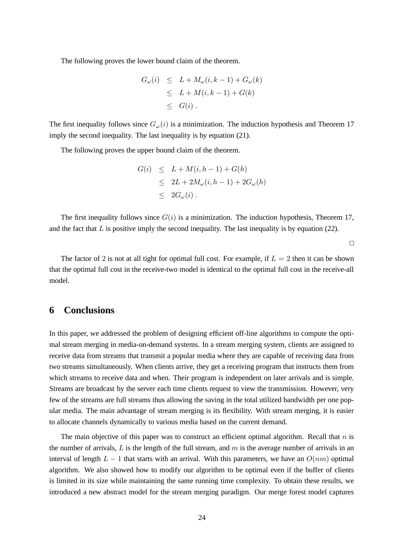The following proves the lower bound claim of the theorem.

$$
G_{\omega}(i) \leq L + M_{\omega}(i, k - 1) + G_{\omega}(k)
$$
  
\n
$$
\leq L + M(i, k - 1) + G(k)
$$
  
\n
$$
\leq G(i).
$$

The first inequality follows since  $G_{\omega}(i)$  is a minimization. The induction hypothesis and Theorem 17 imply the second inequality. The last inequality is by equation (21).

The following proves the upper bound claim of the theorem.

$$
G(i) \leq L + M(i, h - 1) + G(h)
$$
  
\n
$$
\leq 2L + 2M_{\omega}(i, h - 1) + 2G_{\omega}(h)
$$
  
\n
$$
\leq 2G_{\omega}(i).
$$

The first inequality follows since  $G(i)$  is a minimization. The induction hypothesis, Theorem 17, and the fact that  $L$  is positive imply the second inequality. The last inequality is by equation (22).

 $\Box$ 

The factor of 2 is not at all tight for optimal full cost. For example, if  $L = 2$  then it can be shown that the optimal full cost in the receive-two model is identical to the optimal full cost in the receive-all model.

# **6 Conclusions**

In this paper, we addressed the problem of designing efficient off-line algorithms to compute the optimal stream merging in media-on-demand systems. In a stream merging system, clients are assigned to receive data from streams that transmit a popular media where they are capable of receiving data from two streams simultaneously. When clients arrive, they get a receiving program that instructs them from which streams to receive data and when. Their program is independent on later arrivals and is simple. Streams are broadcast by the server each time clients request to view the transmission. However, very few of the streams are full streams thus allowing the saving in the total utilized bandwidth per one popular media. The main advantage of stream merging is its flexibility. With stream merging, it is easier to allocate channels dynamically to various media based on the current demand.

The main objective of this paper was to construct an efficient optimal algorithm. Recall that  $n$  is the number of arrivals,  $L$  is the length of the full stream, and  $m$  is the average number of arrivals in an interval of length  $L - 1$  that starts with an arrival. With this parameters, we have an  $O(nm)$  optimal algorithm. We also showed how to modify our algorithm to be optimal even if the buffer of clients is limited in its size while maintaining the same running time complexity. To obtain these results, we introduced a new abstract model for the stream merging paradigm. Our merge forest model captures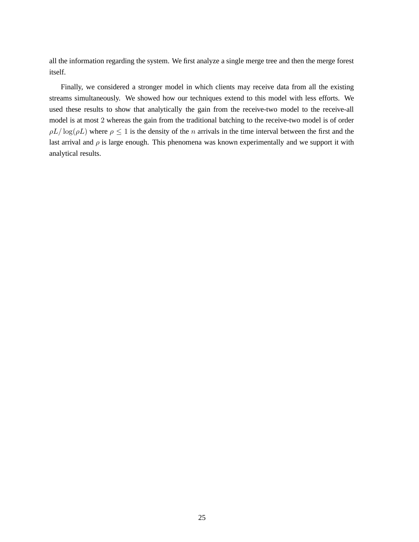all the information regarding the system. We first analyze a single merge tree and then the merge forest itself.

Finally, we considered a stronger model in which clients may receive data from all the existing streams simultaneously. We showed how our techniques extend to this model with less efforts. We used these results to show that analytically the gain from the receive-two model to the receive-all model is at most 2 whereas the gain from the traditional batching to the receive-two model is of order  $\rho L/\log(\rho L)$  where  $\rho \leq 1$  is the density of the *n* arrivals in the time interval between the first and the last arrival and  $\rho$  is large enough. This phenomena was known experimentally and we support it with analytical results.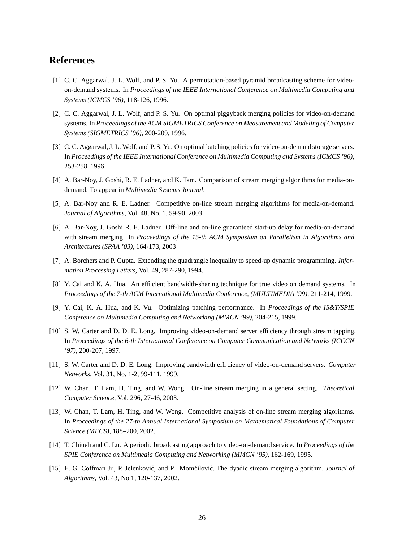# **References**

- [1] C. C. Aggarwal, J. L. Wolf, and P. S. Yu. A permutation-based pyramid broadcasting scheme for videoon-demand systems. In *Proceedings of the IEEE International Conference on Multimedia Computing and Systems (ICMCS '96)*, 118-126, 1996.
- [2] C. C. Aggarwal, J. L. Wolf, and P. S. Yu. On optimal piggyback merging policies for video-on-demand systems. In *Proceedings of the ACM SIGMETRICS Conference on Measurement and Modeling of Computer Systems (SIGMETRICS '96)*, 200-209, 1996.
- [3] C. C. Aggarwal, J. L. Wolf, and P. S. Yu. On optimal batching policies for video-on-demand storage servers. In *Proceedings of the IEEE International Conference on Multimedia Computing and Systems (ICMCS '96)*, 253-258, 1996.
- [4] A. Bar-Noy, J. Goshi, R. E. Ladner, and K. Tam. Comparison of stream merging algorithms for media-ondemand. To appear in *Multimedia Systems Journal*.
- [5] A. Bar-Noy and R. E. Ladner. Competitive on-line stream merging algorithms for media-on-demand. *Journal of Algorithms*, Vol. 48, No. 1, 59-90, 2003.
- [6] A. Bar-Noy, J. Goshi R. E. Ladner. Off-line and on-line guaranteed start-up delay for media-on-demand with stream merging In *Proceedings of the 15-th ACM Symposium on Parallelism in Algorithms and Architectures (SPAA '03)*, 164-173, 2003
- [7] A. Borchers and P. Gupta. Extending the quadrangle inequality to speed-up dynamic programming. *Information Processing Letters*, Vol. 49, 287-290, 1994.
- [8] Y. Cai and K. A. Hua. An efficient bandwidth-sharing technique for true video on demand systems. In *Proceedings of the 7-th ACM International Multimedia Conference, (MULTIMEDIA '99)*, 211-214, 1999.
- [9] Y. Cai, K. A. Hua, and K. Vu. Optimizing patching performance. In *Proceedings of the IS&T/SPIE Conference on Multimedia Computing and Networking (MMCN '99)*, 204-215, 1999.
- [10] S. W. Carter and D. D. E. Long. Improving video-on-demand server efficiency through stream tapping. In *Proceedings of the 6-th International Conference on Computer Communication and Networks (ICCCN '97)*, 200-207, 1997.
- [11] S. W. Carter and D. D. E. Long. Improving bandwidth efficiency of video-on-demand servers. *Computer Networks*, Vol. 31, No. 1-2, 99-111, 1999.
- [12] W. Chan, T. Lam, H. Ting, and W. Wong. On-line stream merging in a general setting. *Theoretical Computer Science*, Vol. 296, 27-46, 2003.
- [13] W. Chan, T. Lam, H. Ting, and W. Wong. Competitive analysis of on-line stream merging algorithms. In *Proceedings of the 27-th Annual International Symposium on Mathematical Foundations of Computer Science (MFCS)*, 188–200, 2002.
- [14] T. Chiueh and C. Lu. A periodic broadcasting approach to video-on-demand service. In *Proceedings of the SPIE Conference on Multimedia Computing and Networking (MMCN '95)*, 162-169, 1995.
- [15] E. G. Coffman Jr., P. Jelenković, and P. Momčilović. The dyadic stream merging algorithm. *Journal of Algorithms*, Vol. 43, No 1, 120-137, 2002.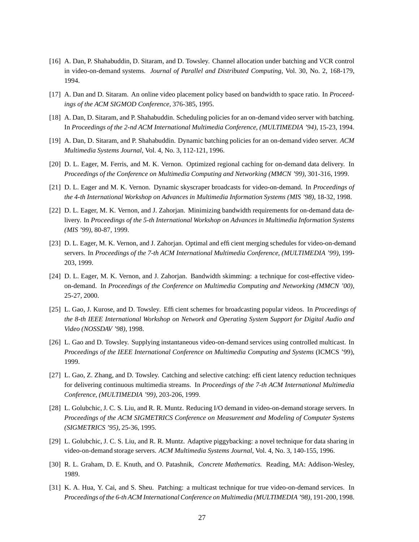- [16] A. Dan, P. Shahabuddin, D. Sitaram, and D. Towsley. Channel allocation under batching and VCR control in video-on-demand systems. *Journal of Parallel and Distributed Computing*, Vol. 30, No. 2, 168-179, 1994.
- [17] A. Dan and D. Sitaram. An online video placement policy based on bandwidth to space ratio. In *Proceedings of the ACM SIGMOD Conference*, 376-385, 1995.
- [18] A. Dan, D. Sitaram, and P. Shahabuddin. Scheduling policies for an on-demand video server with batching. In *Proceedings of the 2-nd ACM International Multimedia Conference, (MULTIMEDIA '94)*, 15-23, 1994.
- [19] A. Dan, D. Sitaram, and P. Shahabuddin. Dynamic batching policies for an on-demand video server. *ACM Multimedia Systems Journal*, Vol. 4, No. 3, 112-121, 1996.
- [20] D. L. Eager, M. Ferris, and M. K. Vernon. Optimized regional caching for on-demand data delivery. In *Proceedings of the Conference on Multimedia Computing and Networking (MMCN '99)*, 301-316, 1999.
- [21] D. L. Eager and M. K. Vernon. Dynamic skyscraper broadcasts for video-on-demand. In *Proceedings of the 4-th International Workshop on Advances in Multimedia Information Systems (MIS '98)*, 18-32, 1998.
- [22] D. L. Eager, M. K. Vernon, and J. Zahorjan. Minimizing bandwidth requirements for on-demand data delivery. In *Proceedings of the 5-th International Workshop on Advances in Multimedia Information Systems (MIS '99)*, 80-87, 1999.
- [23] D. L. Eager, M. K. Vernon, and J. Zahorjan. Optimal and efficient merging schedules for video-on-demand servers. In *Proceedings of the 7-th ACM International Multimedia Conference, (MULTIMEDIA '99)*, 199- 203, 1999.
- [24] D. L. Eager, M. K. Vernon, and J. Zahorjan. Bandwidth skimming: a technique for cost-effective videoon-demand. In *Proceedings of the Conference on Multimedia Computing and Networking (MMCN '00)*, 25-27, 2000.
- [25] L. Gao, J. Kurose, and D. Towsley. Efficient schemes for broadcasting popular videos. In *Proceedings of the 8-th IEEE International Workshop on Network and Operating System Support for Digital Audio and Video (NOSSDAV '98)*, 1998.
- [26] L. Gao and D. Towsley. Supplying instantaneous video-on-demand services using controlled multicast. In *Proceedings of the IEEE International Conference on Multimedia Computing and Systems* (ICMCS '99), 1999.
- [27] L. Gao, Z. Zhang, and D. Towsley. Catching and selective catching: efficient latency reduction techniques for delivering continuous multimedia streams. In *Proceedings of the 7-th ACM International Multimedia Conference, (MULTIMEDIA '99)*, 203-206, 1999.
- [28] L. Golubchic, J. C. S. Liu, and R. R. Muntz. Reducing I/O demand in video-on-demand storage servers. In *Proceedings of the ACM SIGMETRICS Conference on Measurement and Modeling of Computer Systems (SIGMETRICS '95)*, 25-36, 1995.
- [29] L. Golubchic, J. C. S. Liu, and R. R. Muntz. Adaptive piggybacking: a novel technique for data sharing in video-on-demand storage servers. *ACM Multimedia Systems Journal*, Vol. 4, No. 3, 140-155, 1996.
- [30] R. L. Graham, D. E. Knuth, and O. Patashnik, *Concrete Mathematics.* Reading, MA: Addison-Wesley, 1989.
- [31] K. A. Hua, Y. Cai, and S. Sheu. Patching: a multicast technique for true video-on-demand services. In *Proceedings of the 6-th ACM InternationalConference on Multimedia (MULTIMEDIA '98)*, 191-200, 1998.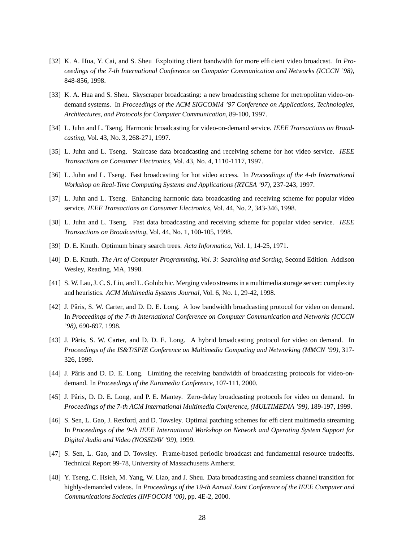- [32] K. A. Hua, Y. Cai, and S. Sheu Exploiting client bandwidth for more efficient video broadcast. In *Proceedings of the 7-th International Conference on Computer Communication and Networks (ICCCN '98)*, 848-856, 1998.
- [33] K. A. Hua and S. Sheu. Skyscraper broadcasting: a new broadcasting scheme for metropolitan video-ondemand systems. In *Proceedings of the ACM SIGCOMM '97 Conference on Applications, Technologies, Architectures, and Protocols for Computer Communication*, 89-100, 1997.
- [34] L. Juhn and L. Tseng. Harmonic broadcasting for video-on-demand service. *IEEE Transactions on Broadcasting*, Vol. 43, No. 3, 268-271, 1997.
- [35] L. Juhn and L. Tseng. Staircase data broadcasting and receiving scheme for hot video service. *IEEE Transactions on Consumer Electronics*, Vol. 43, No. 4, 1110-1117, 1997.
- [36] L. Juhn and L. Tseng. Fast broadcasting for hot video access. In *Proceedings of the 4-th International Workshop on Real-Time Computing Systems and Applications (RTCSA '97)*, 237-243, 1997.
- [37] L. Juhn and L. Tseng. Enhancing harmonic data broadcasting and receiving scheme for popular video service. *IEEE Transactions on Consumer Electronics*, Vol. 44, No. 2, 343-346, 1998.
- [38] L. Juhn and L. Tseng. Fast data broadcasting and receiving scheme for popular video service. *IEEE Transactions on Broadcasting*, Vol. 44, No. 1, 100-105, 1998.
- [39] D. E. Knuth. Optimum binary search trees. *Acta Informatica*, Vol. 1, 14-25, 1971.
- [40] D. E. Knuth. *The Art of Computer Programming, Vol. 3: Searching and Sorting*, Second Edition. Addison Wesley, Reading, MA, 1998.
- [41] S. W. Lau, J. C. S. Liu, and L. Golubchic. Merging video streams in a multimedia storage server: complexity and heuristics. *ACM Multimedia Systems Journal*, Vol. 6, No. 1, 29-42, 1998.
- [42] J. Pâris, S. W. Carter, and D. D. E. Long. A low bandwidth broadcasting protocol for video on demand. In *Proceedings of the 7-th International Conference on Computer Communication and Networks (ICCCN '98)*, 690-697, 1998.
- [43] J. Pâris, S. W. Carter, and D. D. E. Long. A hybrid broadcasting protocol for video on demand. In *Proceedings of the IS&T/SPIE Conference on Multimedia Computing and Networking (MMCN '99)*, 317- 326, 1999.
- [44] J. Pâris and D. D. E. Long. Limiting the receiving bandwidth of broadcasting protocols for video-ondemand. In *Proceedings of the Euromedia Conference*, 107-111, 2000.
- [45] J. Pâris, D. D. E. Long, and P. E. Mantey. Zero-delay broadcasting protocols for video on demand. In *Proceedings of the 7-th ACM International Multimedia Conference, (MULTIMEDIA '99)*, 189-197, 1999.
- [46] S. Sen, L. Gao, J. Rexford, and D. Towsley. Optimal patching schemes for efficient multimedia streaming. In *Proceedings of the 9-th IEEE International Workshop on Network and Operating System Support for Digital Audio and Video (NOSSDAV '99)*, 1999.
- [47] S. Sen, L. Gao, and D. Towsley. Frame-based periodic broadcast and fundamental resource tradeoffs. Technical Report 99-78, University of Massachusetts Amherst.
- [48] Y. Tseng, C. Hsieh, M. Yang, W. Liao, and J. Sheu. Data broadcasting and seamless channel transition for highly-demanded videos. In *Proceedings of the 19-th Annual Joint Conference of the IEEE Computer and Communications Societies (INFOCOM '00)*, pp. 4E-2, 2000.